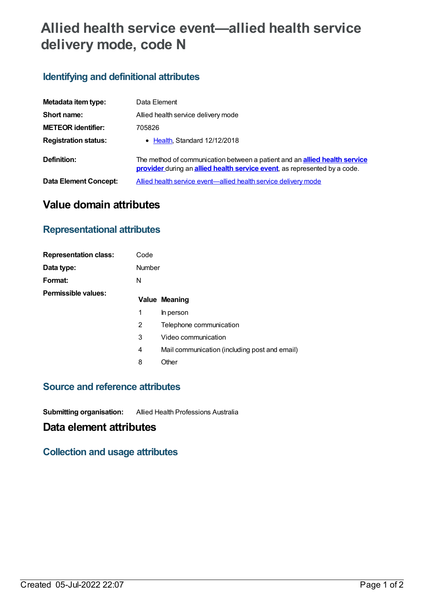# **Allied health service event—allied health service delivery mode, code N**

## **Identifying and definitional attributes**

| Metadata item type:         | Data Element                                                                                                                                                   |
|-----------------------------|----------------------------------------------------------------------------------------------------------------------------------------------------------------|
| Short name:                 | Allied health service delivery mode                                                                                                                            |
| <b>METEOR identifier:</b>   | 705826                                                                                                                                                         |
| <b>Registration status:</b> | • Health, Standard 12/12/2018                                                                                                                                  |
| Definition:                 | The method of communication between a patient and an <b>allied health service</b><br>provider during an allied health service event, as represented by a code. |
| Data Element Concept:       | Allied health service event—allied health service delivery mode                                                                                                |

# **Value domain attributes**

#### **Representational attributes**

| <b>Representation class:</b> | Code   |                                               |
|------------------------------|--------|-----------------------------------------------|
| Data type:                   | Number |                                               |
| Format:                      | N      |                                               |
| Permissible values:          |        | <b>Value Meaning</b>                          |
|                              | 1      | In person                                     |
|                              | 2      | Telephone communication                       |
|                              | 3      | Video communication                           |
|                              | 4      | Mail communication (including post and email) |
|                              | 8      | Other                                         |

#### **Source and reference attributes**

**Submitting organisation:** Allied Health Professions Australia

## **Data element attributes**

**Collection and usage attributes**